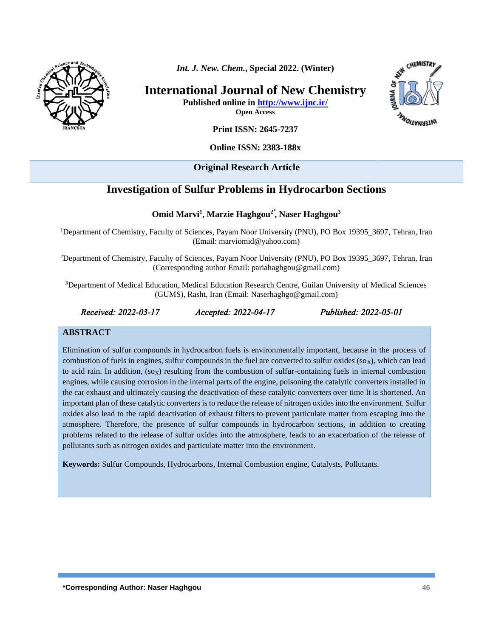

*Int. J. New. Chem.***, Special 2022. (Winter)**

**International Journal of New Chemistry**



**Published online in<http://www.ijnc.ir/> Open Access**

**Print ISSN: 2645-7237**

**Online ISSN: 2383-188x** 

## **Original Research Article**

# **Investigation of Sulfur Problems in Hydrocarbon Sections**

**Omid Marvi<sup>1</sup> , Marzie Haghgou2 ⃰ , Naser Haghgou 3**

<sup>1</sup>Department of Chemistry, Faculty of Sciences, Payam Noor University (PNU), PO Box 19395 3697, Tehran, Iran (Email: marviomid@yahoo.com)

<sup>2</sup>Department of Chemistry, Faculty of Sciences, Payam Noor University (PNU), PO Box 19395 3697, Tehran, Iran (Corresponding author Email: pariahaghgou@gmail.com)

<sup>3</sup>Department of Medical Education, Medical Education Research Centre, Guilan University of Medical Sciences (GUMS), Rasht, Iran (Email: Naserhaghgo@gmail.com)

*Received: 2022-03-17 Accepted: 2022-04-17 Published: 2022-05-01* 

## **ABSTRACT**

Elimination of sulfur compounds in hydrocarbon fuels is environmentally important, because in the process of combustion of fuels in engines, sulfur compounds in the fuel are converted to sulfur oxides  $(s_0x)$ , which can lead to acid rain. In addition,  $(s_0x)$  resulting from the combustion of sulfur-containing fuels in internal combustion engines, while causing corrosion in the internal parts of the engine, poisoning the catalytic converters installed in the car exhaust and ultimately causing the deactivation of these catalytic converters over time It is shortened. An important plan of these catalytic converters is to reduce the release of nitrogen oxides into the environment. Sulfur oxides also lead to the rapid deactivation of exhaust filters to prevent particulate matter from escaping into the atmosphere. Therefore, the presence of sulfur compounds in hydrocarbon sections, in addition to creating problems related to the release of sulfur oxides into the atmosphere, leads to an exacerbation of the release of pollutants such as nitrogen oxides and particulate matter into the environment.

**Keywords:** Sulfur Compounds, Hydrocarbons, Internal Combustion engine, Catalysts, Pollutants.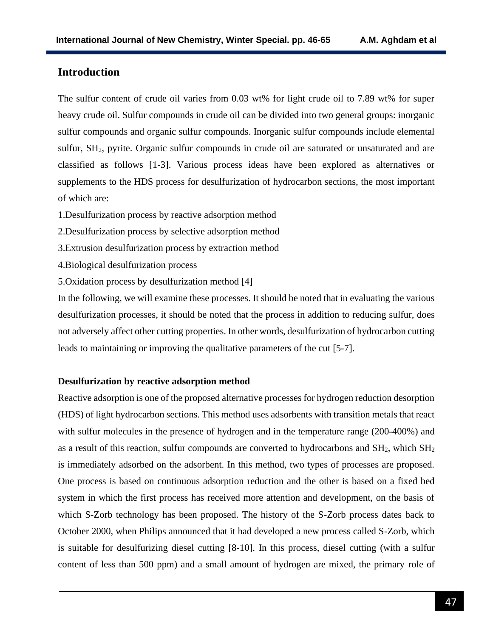## **Introduction**

The sulfur content of crude oil varies from 0.03 wt% for light crude oil to 7.89 wt% for super heavy crude oil. Sulfur compounds in crude oil can be divided into two general groups: inorganic sulfur compounds and organic sulfur compounds. Inorganic sulfur compounds include elemental sulfur, SH2, pyrite. Organic sulfur compounds in crude oil are saturated or unsaturated and are classified as follows [1-3]. Various process ideas have been explored as alternatives or supplements to the HDS process for desulfurization of hydrocarbon sections, the most important of which are:

1.Desulfurization process by reactive adsorption method

2.Desulfurization process by selective adsorption method

- 3.Extrusion desulfurization process by extraction method
- 4.Biological desulfurization process
- 5.Oxidation process by desulfurization method [4]

In the following, we will examine these processes. It should be noted that in evaluating the various desulfurization processes, it should be noted that the process in addition to reducing sulfur, does not adversely affect other cutting properties. In other words, desulfurization of hydrocarbon cutting leads to maintaining or improving the qualitative parameters of the cut [5-7].

#### **Desulfurization by reactive adsorption method**

Reactive adsorption is one of the proposed alternative processes for hydrogen reduction desorption (HDS) of light hydrocarbon sections. This method uses adsorbents with transition metals that react with sulfur molecules in the presence of hydrogen and in the temperature range (200-400%) and as a result of this reaction, sulfur compounds are converted to hydrocarbons and  $SH<sub>2</sub>$ , which  $SH<sub>2</sub>$ is immediately adsorbed on the adsorbent. In this method, two types of processes are proposed. One process is based on continuous adsorption reduction and the other is based on a fixed bed system in which the first process has received more attention and development, on the basis of which S-Zorb technology has been proposed. The history of the S-Zorb process dates back to October 2000, when Philips announced that it had developed a new process called S-Zorb, which is suitable for desulfurizing diesel cutting [8-10]. In this process, diesel cutting (with a sulfur content of less than 500 ppm) and a small amount of hydrogen are mixed, the primary role of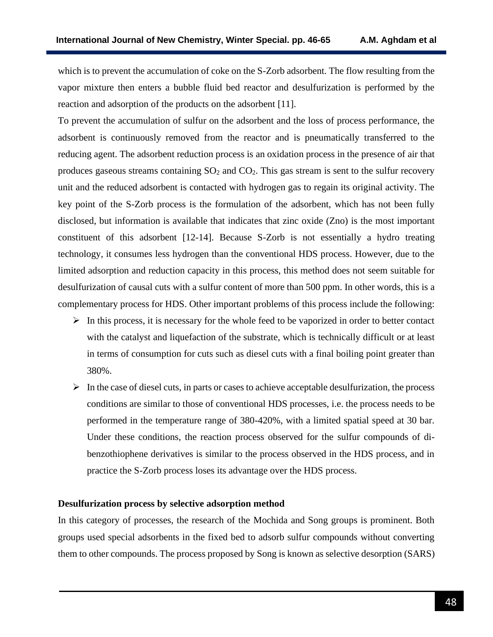which is to prevent the accumulation of coke on the S-Zorb adsorbent. The flow resulting from the vapor mixture then enters a bubble fluid bed reactor and desulfurization is performed by the reaction and adsorption of the products on the adsorbent [11].

To prevent the accumulation of sulfur on the adsorbent and the loss of process performance, the adsorbent is continuously removed from the reactor and is pneumatically transferred to the reducing agent. The adsorbent reduction process is an oxidation process in the presence of air that produces gaseous streams containing  $SO<sub>2</sub>$  and  $CO<sub>2</sub>$ . This gas stream is sent to the sulfur recovery unit and the reduced adsorbent is contacted with hydrogen gas to regain its original activity. The key point of the S-Zorb process is the formulation of the adsorbent, which has not been fully disclosed, but information is available that indicates that zinc oxide (Zno) is the most important constituent of this adsorbent [12-14]. Because S-Zorb is not essentially a hydro treating technology, it consumes less hydrogen than the conventional HDS process. However, due to the limited adsorption and reduction capacity in this process, this method does not seem suitable for desulfurization of causal cuts with a sulfur content of more than 500 ppm. In other words, this is a complementary process for HDS. Other important problems of this process include the following:

- $\triangleright$  In this process, it is necessary for the whole feed to be vaporized in order to better contact with the catalyst and liquefaction of the substrate, which is technically difficult or at least in terms of consumption for cuts such as diesel cuts with a final boiling point greater than 380%.
- $\triangleright$  In the case of diesel cuts, in parts or cases to achieve acceptable desulfurization, the process conditions are similar to those of conventional HDS processes, i.e. the process needs to be performed in the temperature range of 380-420%, with a limited spatial speed at 30 bar. Under these conditions, the reaction process observed for the sulfur compounds of dibenzothiophene derivatives is similar to the process observed in the HDS process, and in practice the S-Zorb process loses its advantage over the HDS process.

## **Desulfurization process by selective adsorption method**

In this category of processes, the research of the Mochida and Song groups is prominent. Both groups used special adsorbents in the fixed bed to adsorb sulfur compounds without converting them to other compounds. The process proposed by Song is known as selective desorption (SARS)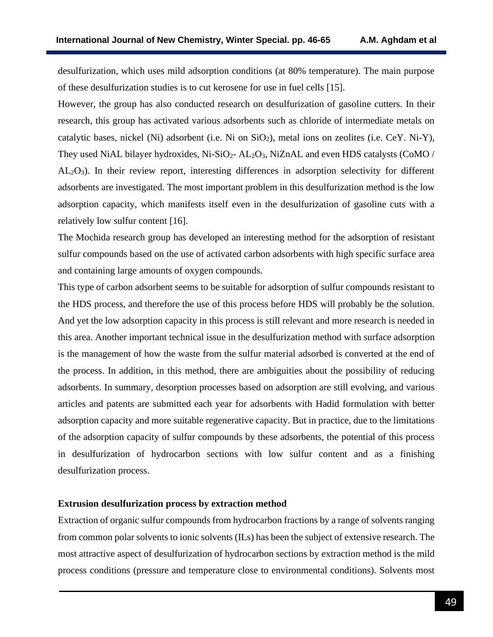desulfurization, which uses mild adsorption conditions (at 80% temperature). The main purpose of these desulfurization studies is to cut kerosene for use in fuel cells [15].

However, the group has also conducted research on desulfurization of gasoline cutters. In their research, this group has activated various adsorbents such as chloride of intermediate metals on catalytic bases, nickel (Ni) adsorbent (i.e. Ni on  $SiO<sub>2</sub>$ ), metal ions on zeolites (i.e. CeY. Ni-Y), They used NiAL bilayer hydroxides,  $Ni-SiO<sub>2</sub> - AL<sub>2</sub>O<sub>3</sub>$ , NiZnAL and even HDS catalysts (CoMO / AL2O3). In their review report, interesting differences in adsorption selectivity for different adsorbents are investigated. The most important problem in this desulfurization method is the low adsorption capacity, which manifests itself even in the desulfurization of gasoline cuts with a relatively low sulfur content [16].

The Mochida research group has developed an interesting method for the adsorption of resistant sulfur compounds based on the use of activated carbon adsorbents with high specific surface area and containing large amounts of oxygen compounds.

This type of carbon adsorbent seems to be suitable for adsorption of sulfur compounds resistant to the HDS process, and therefore the use of this process before HDS will probably be the solution. And yet the low adsorption capacity in this process is still relevant and more research is needed in this area. Another important technical issue in the desulfurization method with surface adsorption is the management of how the waste from the sulfur material adsorbed is converted at the end of the process. In addition, in this method, there are ambiguities about the possibility of reducing adsorbents. In summary, desorption processes based on adsorption are still evolving, and various articles and patents are submitted each year for adsorbents with Hadid formulation with better adsorption capacity and more suitable regenerative capacity. But in practice, due to the limitations of the adsorption capacity of sulfur compounds by these adsorbents, the potential of this process in desulfurization of hydrocarbon sections with low sulfur content and as a finishing desulfurization process.

## **Extrusion desulfurization process by extraction method**

Extraction of organic sulfur compounds from hydrocarbon fractions by a range of solvents ranging from common polar solvents to ionic solvents (ILs) has been the subject of extensive research. The most attractive aspect of desulfurization of hydrocarbon sections by extraction method is the mild process conditions (pressure and temperature close to environmental conditions). Solvents most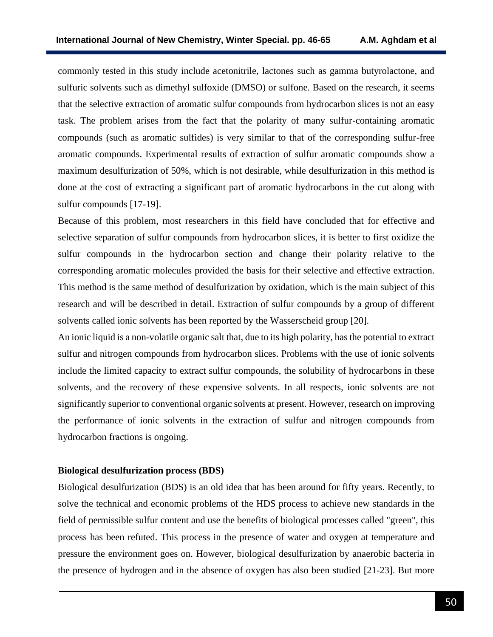commonly tested in this study include acetonitrile, lactones such as gamma butyrolactone, and sulfuric solvents such as dimethyl sulfoxide (DMSO) or sulfone. Based on the research, it seems that the selective extraction of aromatic sulfur compounds from hydrocarbon slices is not an easy task. The problem arises from the fact that the polarity of many sulfur-containing aromatic compounds (such as aromatic sulfides) is very similar to that of the corresponding sulfur-free aromatic compounds. Experimental results of extraction of sulfur aromatic compounds show a maximum desulfurization of 50%, which is not desirable, while desulfurization in this method is done at the cost of extracting a significant part of aromatic hydrocarbons in the cut along with sulfur compounds [17-19].

Because of this problem, most researchers in this field have concluded that for effective and selective separation of sulfur compounds from hydrocarbon slices, it is better to first oxidize the sulfur compounds in the hydrocarbon section and change their polarity relative to the corresponding aromatic molecules provided the basis for their selective and effective extraction. This method is the same method of desulfurization by oxidation, which is the main subject of this research and will be described in detail. Extraction of sulfur compounds by a group of different solvents called ionic solvents has been reported by the Wasserscheid group [20].

An ionic liquid is a non-volatile organic salt that, due to its high polarity, has the potential to extract sulfur and nitrogen compounds from hydrocarbon slices. Problems with the use of ionic solvents include the limited capacity to extract sulfur compounds, the solubility of hydrocarbons in these solvents, and the recovery of these expensive solvents. In all respects, ionic solvents are not significantly superior to conventional organic solvents at present. However, research on improving the performance of ionic solvents in the extraction of sulfur and nitrogen compounds from hydrocarbon fractions is ongoing.

### **Biological desulfurization process (BDS)**

Biological desulfurization (BDS) is an old idea that has been around for fifty years. Recently, to solve the technical and economic problems of the HDS process to achieve new standards in the field of permissible sulfur content and use the benefits of biological processes called "green", this process has been refuted. This process in the presence of water and oxygen at temperature and pressure the environment goes on. However, biological desulfurization by anaerobic bacteria in the presence of hydrogen and in the absence of oxygen has also been studied [21-23]. But more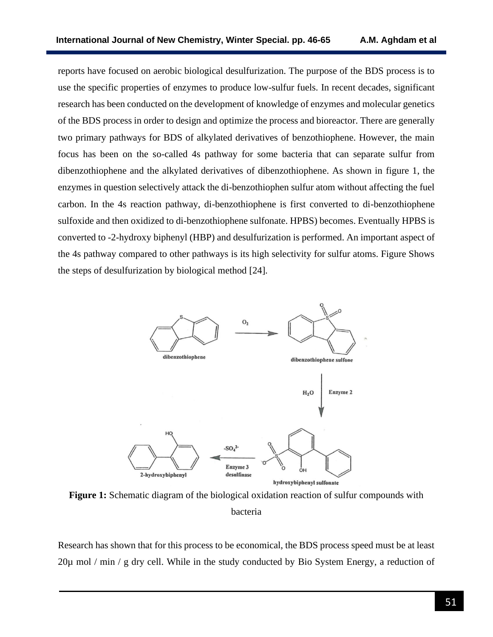reports have focused on aerobic biological desulfurization. The purpose of the BDS process is to use the specific properties of enzymes to produce low-sulfur fuels. In recent decades, significant research has been conducted on the development of knowledge of enzymes and molecular genetics of the BDS process in order to design and optimize the process and bioreactor. There are generally two primary pathways for BDS of alkylated derivatives of benzothiophene. However, the main focus has been on the so-called 4s pathway for some bacteria that can separate sulfur from dibenzothiophene and the alkylated derivatives of dibenzothiophene. As shown in figure 1, the enzymes in question selectively attack the di-benzothiophen sulfur atom without affecting the fuel carbon. In the 4s reaction pathway, di-benzothiophene is first converted to di-benzothiophene sulfoxide and then oxidized to di-benzothiophene sulfonate. HPBS) becomes. Eventually HPBS is converted to -2-hydroxy biphenyl (HBP) and desulfurization is performed. An important aspect of the 4s pathway compared to other pathways is its high selectivity for sulfur atoms. Figure Shows the steps of desulfurization by biological method [24].



**Figure 1:** Schematic diagram of the biological oxidation reaction of sulfur compounds with bacteria

Research has shown that for this process to be economical, the BDS process speed must be at least 20µ mol / min / g dry cell. While in the study conducted by Bio System Energy, a reduction of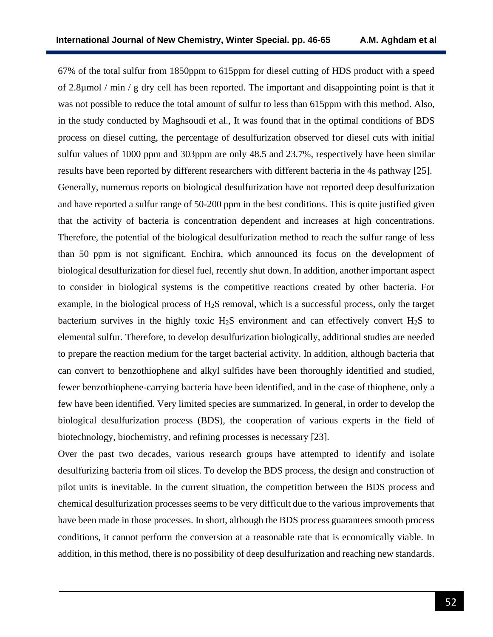67% of the total sulfur from 1850ppm to 615ppm for diesel cutting of HDS product with a speed of 2.8µmol / min / g dry cell has been reported. The important and disappointing point is that it was not possible to reduce the total amount of sulfur to less than 615ppm with this method. Also, in the study conducted by Maghsoudi et al., It was found that in the optimal conditions of BDS process on diesel cutting, the percentage of desulfurization observed for diesel cuts with initial sulfur values of 1000 ppm and 303ppm are only 48.5 and 23.7%, respectively have been similar results have been reported by different researchers with different bacteria in the 4s pathway [25]. Generally, numerous reports on biological desulfurization have not reported deep desulfurization and have reported a sulfur range of 50-200 ppm in the best conditions. This is quite justified given that the activity of bacteria is concentration dependent and increases at high concentrations. Therefore, the potential of the biological desulfurization method to reach the sulfur range of less than 50 ppm is not significant. Enchira, which announced its focus on the development of biological desulfurization for diesel fuel, recently shut down. In addition, another important aspect to consider in biological systems is the competitive reactions created by other bacteria. For example, in the biological process of H2S removal, which is a successful process, only the target bacterium survives in the highly toxic  $H_2S$  environment and can effectively convert  $H_2S$  to elemental sulfur. Therefore, to develop desulfurization biologically, additional studies are needed to prepare the reaction medium for the target bacterial activity. In addition, although bacteria that can convert to benzothiophene and alkyl sulfides have been thoroughly identified and studied, fewer benzothiophene-carrying bacteria have been identified, and in the case of thiophene, only a few have been identified. Very limited species are summarized. In general, in order to develop the biological desulfurization process (BDS), the cooperation of various experts in the field of biotechnology, biochemistry, and refining processes is necessary [23].

Over the past two decades, various research groups have attempted to identify and isolate desulfurizing bacteria from oil slices. To develop the BDS process, the design and construction of pilot units is inevitable. In the current situation, the competition between the BDS process and chemical desulfurization processes seems to be very difficult due to the various improvements that have been made in those processes. In short, although the BDS process guarantees smooth process conditions, it cannot perform the conversion at a reasonable rate that is economically viable. In addition, in this method, there is no possibility of deep desulfurization and reaching new standards.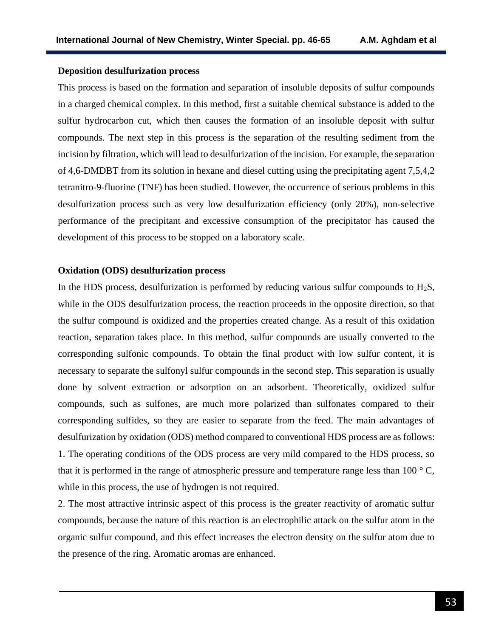### **Deposition desulfurization process**

This process is based on the formation and separation of insoluble deposits of sulfur compounds in a charged chemical complex. In this method, first a suitable chemical substance is added to the sulfur hydrocarbon cut, which then causes the formation of an insoluble deposit with sulfur compounds. The next step in this process is the separation of the resulting sediment from the incision by filtration, which will lead to desulfurization of the incision. For example, the separation of 4,6-DMDBT from its solution in hexane and diesel cutting using the precipitating agent 7,5,4,2 tetranitro-9-fluorine (TNF) has been studied. However, the occurrence of serious problems in this desulfurization process such as very low desulfurization efficiency (only 20%), non-selective performance of the precipitant and excessive consumption of the precipitator has caused the development of this process to be stopped on a laboratory scale.

### **Oxidation (ODS) desulfurization process**

In the HDS process, desulfurization is performed by reducing various sulfur compounds to  $H_2S$ , while in the ODS desulfurization process, the reaction proceeds in the opposite direction, so that the sulfur compound is oxidized and the properties created change. As a result of this oxidation reaction, separation takes place. In this method, sulfur compounds are usually converted to the corresponding sulfonic compounds. To obtain the final product with low sulfur content, it is necessary to separate the sulfonyl sulfur compounds in the second step. This separation is usually done by solvent extraction or adsorption on an adsorbent. Theoretically, oxidized sulfur compounds, such as sulfones, are much more polarized than sulfonates compared to their corresponding sulfides, so they are easier to separate from the feed. The main advantages of desulfurization by oxidation (ODS) method compared to conventional HDS process are as follows: 1. The operating conditions of the ODS process are very mild compared to the HDS process, so that it is performed in the range of atmospheric pressure and temperature range less than  $100^{\circ}$  C, while in this process, the use of hydrogen is not required.

2. The most attractive intrinsic aspect of this process is the greater reactivity of aromatic sulfur compounds, because the nature of this reaction is an electrophilic attack on the sulfur atom in the organic sulfur compound, and this effect increases the electron density on the sulfur atom due to the presence of the ring. Aromatic aromas are enhanced.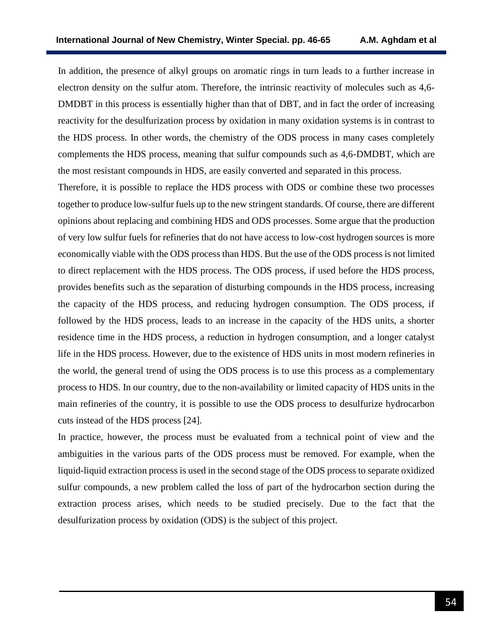In addition, the presence of alkyl groups on aromatic rings in turn leads to a further increase in electron density on the sulfur atom. Therefore, the intrinsic reactivity of molecules such as 4,6- DMDBT in this process is essentially higher than that of DBT, and in fact the order of increasing reactivity for the desulfurization process by oxidation in many oxidation systems is in contrast to the HDS process. In other words, the chemistry of the ODS process in many cases completely complements the HDS process, meaning that sulfur compounds such as 4,6-DMDBT, which are the most resistant compounds in HDS, are easily converted and separated in this process.

Therefore, it is possible to replace the HDS process with ODS or combine these two processes together to produce low-sulfur fuels up to the new stringent standards. Of course, there are different opinions about replacing and combining HDS and ODS processes. Some argue that the production of very low sulfur fuels for refineries that do not have access to low-cost hydrogen sources is more economically viable with the ODS process than HDS. But the use of the ODS process is not limited to direct replacement with the HDS process. The ODS process, if used before the HDS process, provides benefits such as the separation of disturbing compounds in the HDS process, increasing the capacity of the HDS process, and reducing hydrogen consumption. The ODS process, if followed by the HDS process, leads to an increase in the capacity of the HDS units, a shorter residence time in the HDS process, a reduction in hydrogen consumption, and a longer catalyst life in the HDS process. However, due to the existence of HDS units in most modern refineries in the world, the general trend of using the ODS process is to use this process as a complementary process to HDS. In our country, due to the non-availability or limited capacity of HDS units in the main refineries of the country, it is possible to use the ODS process to desulfurize hydrocarbon cuts instead of the HDS process [24].

In practice, however, the process must be evaluated from a technical point of view and the ambiguities in the various parts of the ODS process must be removed. For example, when the liquid-liquid extraction process is used in the second stage of the ODS process to separate oxidized sulfur compounds, a new problem called the loss of part of the hydrocarbon section during the extraction process arises, which needs to be studied precisely. Due to the fact that the desulfurization process by oxidation (ODS) is the subject of this project.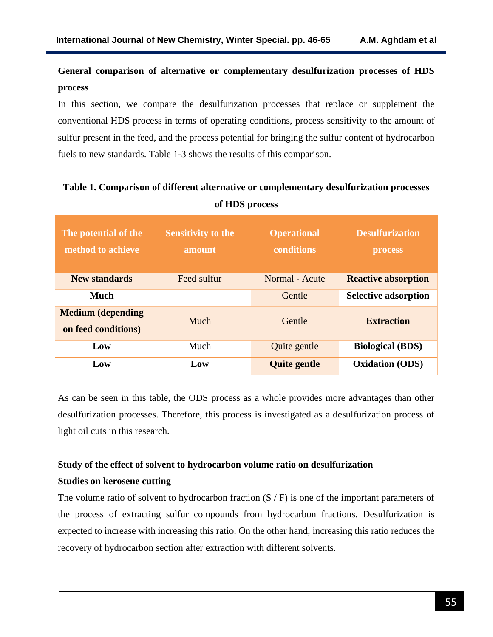# **General comparison of alternative or complementary desulfurization processes of HDS process**

In this section, we compare the desulfurization processes that replace or supplement the conventional HDS process in terms of operating conditions, process sensitivity to the amount of sulfur present in the feed, and the process potential for bringing the sulfur content of hydrocarbon fuels to new standards. Table 1-3 shows the results of this comparison.

# **Table 1. Comparison of different alternative or complementary desulfurization processes of HDS process**

| The potential of the<br>method to achieve       | <b>Sensitivity to the</b><br>amount | <b>Operational</b><br>conditions | <b>Desulfurization</b><br><b>process</b> |
|-------------------------------------------------|-------------------------------------|----------------------------------|------------------------------------------|
| <b>New standards</b>                            | Feed sulfur                         | Normal - Acute                   | <b>Reactive absorption</b>               |
| <b>Much</b>                                     |                                     | Gentle                           | <b>Selective adsorption</b>              |
| <b>Medium</b> (depending<br>on feed conditions) | Much                                | Gentle                           | <b>Extraction</b>                        |
| Low                                             | Much                                | Quite gentle                     | <b>Biological (BDS)</b>                  |
| Low                                             | Low                                 | <b>Quite gentle</b>              | <b>Oxidation (ODS)</b>                   |

As can be seen in this table, the ODS process as a whole provides more advantages than other desulfurization processes. Therefore, this process is investigated as a desulfurization process of light oil cuts in this research.

# **Study of the effect of solvent to hydrocarbon volume ratio on desulfurization**

## **Studies on kerosene cutting**

The volume ratio of solvent to hydrocarbon fraction  $(S / F)$  is one of the important parameters of the process of extracting sulfur compounds from hydrocarbon fractions. Desulfurization is expected to increase with increasing this ratio. On the other hand, increasing this ratio reduces the recovery of hydrocarbon section after extraction with different solvents.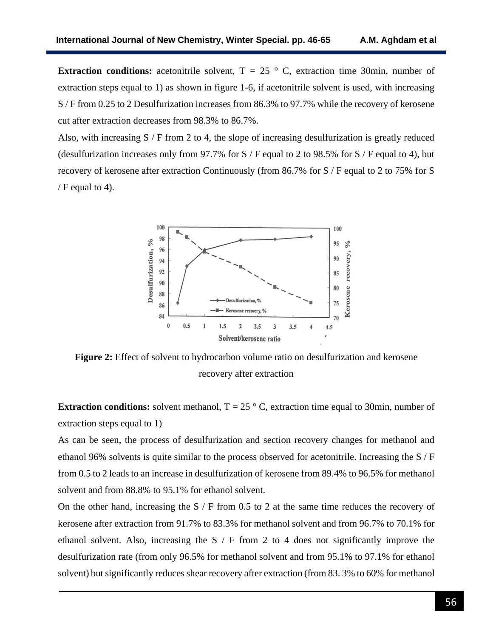**Extraction conditions:** acetonitrile solvent,  $T = 25$  ° C, extraction time 30min, number of extraction steps equal to 1) as shown in figure 1-6, if acetonitrile solvent is used, with increasing S / F from 0.25 to 2 Desulfurization increases from 86.3% to 97.7% while the recovery of kerosene cut after extraction decreases from 98.3% to 86.7%.

Also, with increasing S / F from 2 to 4, the slope of increasing desulfurization is greatly reduced (desulfurization increases only from 97.7% for  $S / F$  equal to 2 to 98.5% for  $S / F$  equal to 4), but recovery of kerosene after extraction Continuously (from 86.7% for S / F equal to 2 to 75% for S /  $F$  equal to 4).



**Figure 2:** Effect of solvent to hydrocarbon volume ratio on desulfurization and kerosene recovery after extraction

**Extraction conditions:** solvent methanol,  $T = 25^\circ$  C, extraction time equal to 30min, number of extraction steps equal to 1)

As can be seen, the process of desulfurization and section recovery changes for methanol and ethanol 96% solvents is quite similar to the process observed for acetonitrile. Increasing the S / F from 0.5 to 2 leads to an increase in desulfurization of kerosene from 89.4% to 96.5% for methanol solvent and from 88.8% to 95.1% for ethanol solvent.

On the other hand, increasing the  $S / F$  from 0.5 to 2 at the same time reduces the recovery of kerosene after extraction from 91.7% to 83.3% for methanol solvent and from 96.7% to 70.1% for ethanol solvent. Also, increasing the S / F from 2 to 4 does not significantly improve the desulfurization rate (from only 96.5% for methanol solvent and from 95.1% to 97.1% for ethanol solvent) but significantly reduces shear recovery after extraction (from 83. 3% to 60% for methanol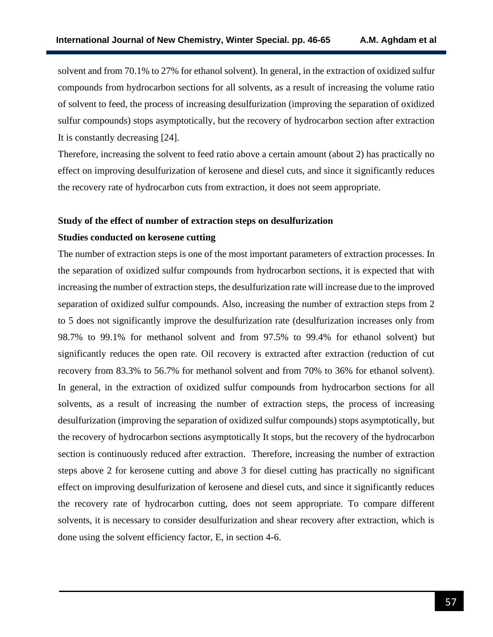solvent and from 70.1% to 27% for ethanol solvent). In general, in the extraction of oxidized sulfur compounds from hydrocarbon sections for all solvents, as a result of increasing the volume ratio of solvent to feed, the process of increasing desulfurization (improving the separation of oxidized sulfur compounds) stops asymptotically, but the recovery of hydrocarbon section after extraction It is constantly decreasing [24].

Therefore, increasing the solvent to feed ratio above a certain amount (about 2) has practically no effect on improving desulfurization of kerosene and diesel cuts, and since it significantly reduces the recovery rate of hydrocarbon cuts from extraction, it does not seem appropriate.

## **Study of the effect of number of extraction steps on desulfurization**

## **Studies conducted on kerosene cutting**

The number of extraction steps is one of the most important parameters of extraction processes. In the separation of oxidized sulfur compounds from hydrocarbon sections, it is expected that with increasing the number of extraction steps, the desulfurization rate will increase due to the improved separation of oxidized sulfur compounds. Also, increasing the number of extraction steps from 2 to 5 does not significantly improve the desulfurization rate (desulfurization increases only from 98.7% to 99.1% for methanol solvent and from 97.5% to 99.4% for ethanol solvent) but significantly reduces the open rate. Oil recovery is extracted after extraction (reduction of cut recovery from 83.3% to 56.7% for methanol solvent and from 70% to 36% for ethanol solvent). In general, in the extraction of oxidized sulfur compounds from hydrocarbon sections for all solvents, as a result of increasing the number of extraction steps, the process of increasing desulfurization (improving the separation of oxidized sulfur compounds) stops asymptotically, but the recovery of hydrocarbon sections asymptotically It stops, but the recovery of the hydrocarbon section is continuously reduced after extraction. Therefore, increasing the number of extraction steps above 2 for kerosene cutting and above 3 for diesel cutting has practically no significant effect on improving desulfurization of kerosene and diesel cuts, and since it significantly reduces the recovery rate of hydrocarbon cutting, does not seem appropriate. To compare different solvents, it is necessary to consider desulfurization and shear recovery after extraction, which is done using the solvent efficiency factor, E, in section 4-6.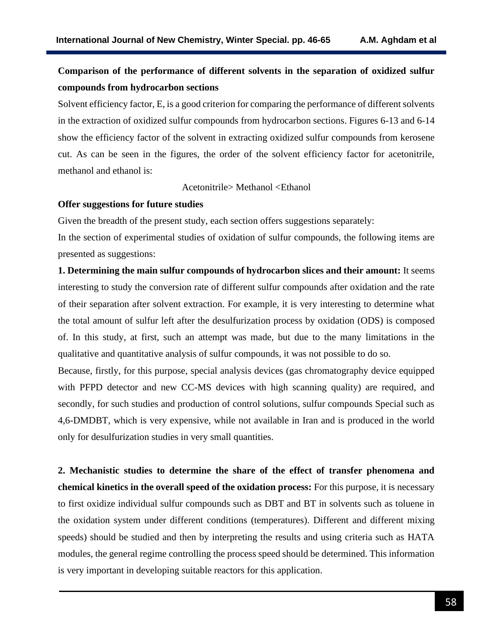# **Comparison of the performance of different solvents in the separation of oxidized sulfur compounds from hydrocarbon sections**

Solvent efficiency factor, E, is a good criterion for comparing the performance of different solvents in the extraction of oxidized sulfur compounds from hydrocarbon sections. Figures 6-13 and 6-14 show the efficiency factor of the solvent in extracting oxidized sulfur compounds from kerosene cut. As can be seen in the figures, the order of the solvent efficiency factor for acetonitrile, methanol and ethanol is:

Acetonitrile> Methanol <Ethanol

### **Offer suggestions for future studies**

Given the breadth of the present study, each section offers suggestions separately:

In the section of experimental studies of oxidation of sulfur compounds, the following items are presented as suggestions:

**1. Determining the main sulfur compounds of hydrocarbon slices and their amount:** It seems interesting to study the conversion rate of different sulfur compounds after oxidation and the rate of their separation after solvent extraction. For example, it is very interesting to determine what the total amount of sulfur left after the desulfurization process by oxidation (ODS) is composed of. In this study, at first, such an attempt was made, but due to the many limitations in the qualitative and quantitative analysis of sulfur compounds, it was not possible to do so.

Because, firstly, for this purpose, special analysis devices (gas chromatography device equipped with PFPD detector and new CC-MS devices with high scanning quality) are required, and secondly, for such studies and production of control solutions, sulfur compounds Special such as 4,6-DMDBT, which is very expensive, while not available in Iran and is produced in the world only for desulfurization studies in very small quantities.

**2. Mechanistic studies to determine the share of the effect of transfer phenomena and chemical kinetics in the overall speed of the oxidation process:** For this purpose, it is necessary to first oxidize individual sulfur compounds such as DBT and BT in solvents such as toluene in the oxidation system under different conditions (temperatures). Different and different mixing speeds) should be studied and then by interpreting the results and using criteria such as HATA modules, the general regime controlling the process speed should be determined. This information is very important in developing suitable reactors for this application.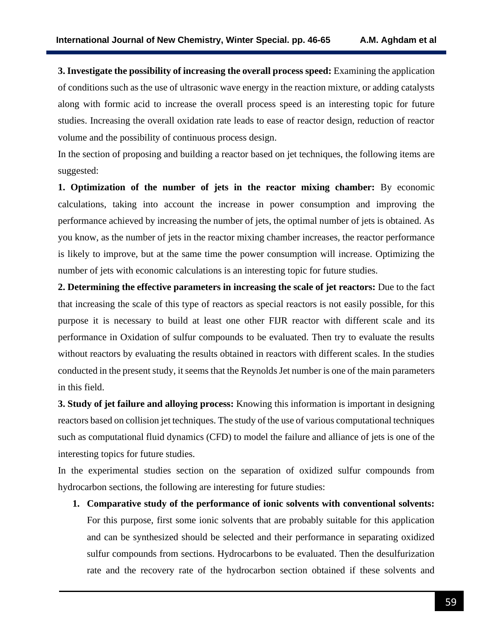**3. Investigate the possibility of increasing the overall process speed:** Examining the application of conditions such as the use of ultrasonic wave energy in the reaction mixture, or adding catalysts along with formic acid to increase the overall process speed is an interesting topic for future studies. Increasing the overall oxidation rate leads to ease of reactor design, reduction of reactor volume and the possibility of continuous process design.

In the section of proposing and building a reactor based on jet techniques, the following items are suggested:

**1. Optimization of the number of jets in the reactor mixing chamber:** By economic calculations, taking into account the increase in power consumption and improving the performance achieved by increasing the number of jets, the optimal number of jets is obtained. As you know, as the number of jets in the reactor mixing chamber increases, the reactor performance is likely to improve, but at the same time the power consumption will increase. Optimizing the number of jets with economic calculations is an interesting topic for future studies.

**2. Determining the effective parameters in increasing the scale of jet reactors:** Due to the fact that increasing the scale of this type of reactors as special reactors is not easily possible, for this purpose it is necessary to build at least one other FIJR reactor with different scale and its performance in Oxidation of sulfur compounds to be evaluated. Then try to evaluate the results without reactors by evaluating the results obtained in reactors with different scales. In the studies conducted in the present study, it seems that the Reynolds Jet number is one of the main parameters in this field.

**3. Study of jet failure and alloying process:** Knowing this information is important in designing reactors based on collision jet techniques. The study of the use of various computational techniques such as computational fluid dynamics (CFD) to model the failure and alliance of jets is one of the interesting topics for future studies.

In the experimental studies section on the separation of oxidized sulfur compounds from hydrocarbon sections, the following are interesting for future studies:

**1. Comparative study of the performance of ionic solvents with conventional solvents:** For this purpose, first some ionic solvents that are probably suitable for this application and can be synthesized should be selected and their performance in separating oxidized sulfur compounds from sections. Hydrocarbons to be evaluated. Then the desulfurization rate and the recovery rate of the hydrocarbon section obtained if these solvents and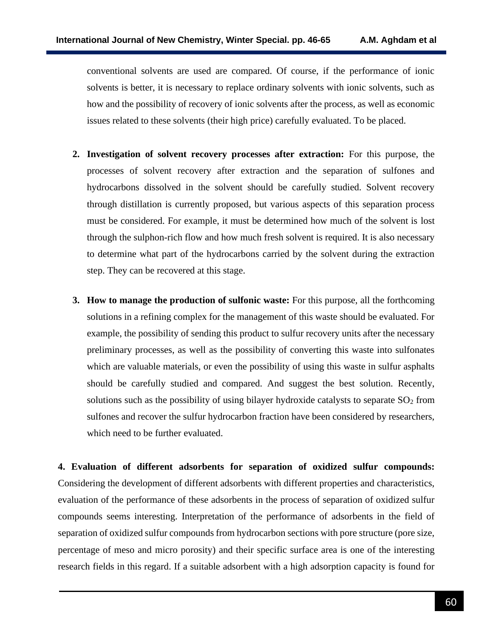conventional solvents are used are compared. Of course, if the performance of ionic solvents is better, it is necessary to replace ordinary solvents with ionic solvents, such as how and the possibility of recovery of ionic solvents after the process, as well as economic issues related to these solvents (their high price) carefully evaluated. To be placed.

- **2. Investigation of solvent recovery processes after extraction:** For this purpose, the processes of solvent recovery after extraction and the separation of sulfones and hydrocarbons dissolved in the solvent should be carefully studied. Solvent recovery through distillation is currently proposed, but various aspects of this separation process must be considered. For example, it must be determined how much of the solvent is lost through the sulphon-rich flow and how much fresh solvent is required. It is also necessary to determine what part of the hydrocarbons carried by the solvent during the extraction step. They can be recovered at this stage.
- **3. How to manage the production of sulfonic waste:** For this purpose, all the forthcoming solutions in a refining complex for the management of this waste should be evaluated. For example, the possibility of sending this product to sulfur recovery units after the necessary preliminary processes, as well as the possibility of converting this waste into sulfonates which are valuable materials, or even the possibility of using this waste in sulfur asphalts should be carefully studied and compared. And suggest the best solution. Recently, solutions such as the possibility of using bilayer hydroxide catalysts to separate  $SO<sub>2</sub>$  from sulfones and recover the sulfur hydrocarbon fraction have been considered by researchers, which need to be further evaluated.

**4. Evaluation of different adsorbents for separation of oxidized sulfur compounds:** Considering the development of different adsorbents with different properties and characteristics, evaluation of the performance of these adsorbents in the process of separation of oxidized sulfur compounds seems interesting. Interpretation of the performance of adsorbents in the field of separation of oxidized sulfur compounds from hydrocarbon sections with pore structure (pore size, percentage of meso and micro porosity) and their specific surface area is one of the interesting research fields in this regard. If a suitable adsorbent with a high adsorption capacity is found for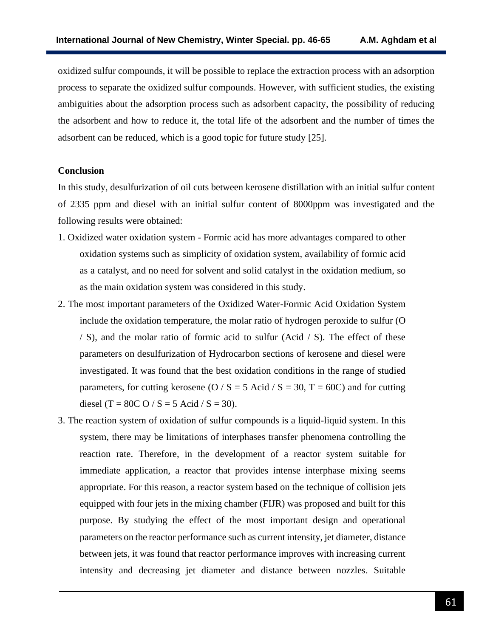oxidized sulfur compounds, it will be possible to replace the extraction process with an adsorption process to separate the oxidized sulfur compounds. However, with sufficient studies, the existing ambiguities about the adsorption process such as adsorbent capacity, the possibility of reducing the adsorbent and how to reduce it, the total life of the adsorbent and the number of times the adsorbent can be reduced, which is a good topic for future study [25].

#### **Conclusion**

In this study, desulfurization of oil cuts between kerosene distillation with an initial sulfur content of 2335 ppm and diesel with an initial sulfur content of 8000ppm was investigated and the following results were obtained:

- 1. Oxidized water oxidation system Formic acid has more advantages compared to other oxidation systems such as simplicity of oxidation system, availability of formic acid as a catalyst, and no need for solvent and solid catalyst in the oxidation medium, so as the main oxidation system was considered in this study.
- 2. The most important parameters of the Oxidized Water-Formic Acid Oxidation System include the oxidation temperature, the molar ratio of hydrogen peroxide to sulfur (O / S), and the molar ratio of formic acid to sulfur (Acid / S). The effect of these parameters on desulfurization of Hydrocarbon sections of kerosene and diesel were investigated. It was found that the best oxidation conditions in the range of studied parameters, for cutting kerosene (O / S = 5 Acid / S = 30, T = 60C) and for cutting diesel (T = 80C O / S = 5 Acid / S = 30).
- 3. The reaction system of oxidation of sulfur compounds is a liquid-liquid system. In this system, there may be limitations of interphases transfer phenomena controlling the reaction rate. Therefore, in the development of a reactor system suitable for immediate application, a reactor that provides intense interphase mixing seems appropriate. For this reason, a reactor system based on the technique of collision jets equipped with four jets in the mixing chamber (FIJR) was proposed and built for this purpose. By studying the effect of the most important design and operational parameters on the reactor performance such as current intensity, jet diameter, distance between jets, it was found that reactor performance improves with increasing current intensity and decreasing jet diameter and distance between nozzles. Suitable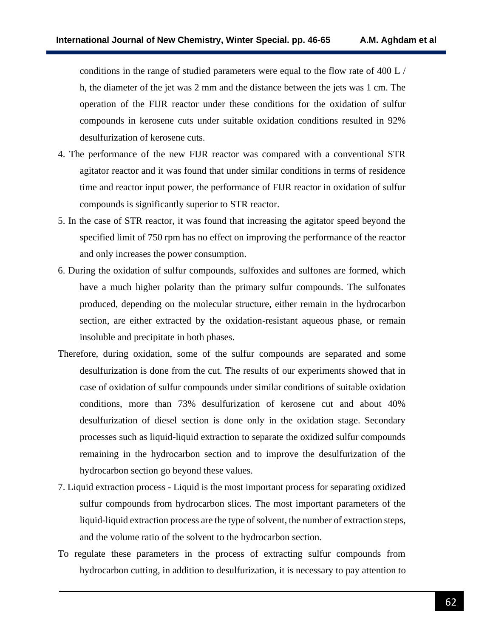conditions in the range of studied parameters were equal to the flow rate of 400 L / h, the diameter of the jet was 2 mm and the distance between the jets was 1 cm. The operation of the FIJR reactor under these conditions for the oxidation of sulfur compounds in kerosene cuts under suitable oxidation conditions resulted in 92% desulfurization of kerosene cuts.

- 4. The performance of the new FIJR reactor was compared with a conventional STR agitator reactor and it was found that under similar conditions in terms of residence time and reactor input power, the performance of FIJR reactor in oxidation of sulfur compounds is significantly superior to STR reactor.
- 5. In the case of STR reactor, it was found that increasing the agitator speed beyond the specified limit of 750 rpm has no effect on improving the performance of the reactor and only increases the power consumption.
- 6. During the oxidation of sulfur compounds, sulfoxides and sulfones are formed, which have a much higher polarity than the primary sulfur compounds. The sulfonates produced, depending on the molecular structure, either remain in the hydrocarbon section, are either extracted by the oxidation-resistant aqueous phase, or remain insoluble and precipitate in both phases.
- Therefore, during oxidation, some of the sulfur compounds are separated and some desulfurization is done from the cut. The results of our experiments showed that in case of oxidation of sulfur compounds under similar conditions of suitable oxidation conditions, more than 73% desulfurization of kerosene cut and about 40% desulfurization of diesel section is done only in the oxidation stage. Secondary processes such as liquid-liquid extraction to separate the oxidized sulfur compounds remaining in the hydrocarbon section and to improve the desulfurization of the hydrocarbon section go beyond these values.
- 7. Liquid extraction process Liquid is the most important process for separating oxidized sulfur compounds from hydrocarbon slices. The most important parameters of the liquid-liquid extraction process are the type of solvent, the number of extraction steps, and the volume ratio of the solvent to the hydrocarbon section.
- To regulate these parameters in the process of extracting sulfur compounds from hydrocarbon cutting, in addition to desulfurization, it is necessary to pay attention to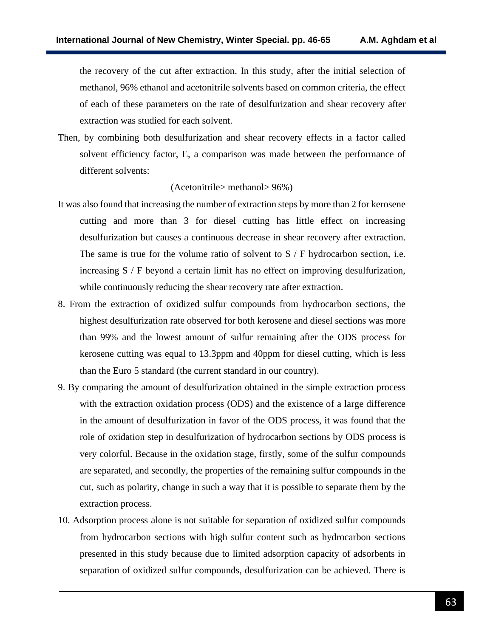the recovery of the cut after extraction. In this study, after the initial selection of methanol, 96% ethanol and acetonitrile solvents based on common criteria, the effect of each of these parameters on the rate of desulfurization and shear recovery after extraction was studied for each solvent.

Then, by combining both desulfurization and shear recovery effects in a factor called solvent efficiency factor, E, a comparison was made between the performance of different solvents:

### (Acetonitrile> methanol> 96%)

- It was also found that increasing the number of extraction steps by more than 2 for kerosene cutting and more than 3 for diesel cutting has little effect on increasing desulfurization but causes a continuous decrease in shear recovery after extraction. The same is true for the volume ratio of solvent to S / F hydrocarbon section, i.e. increasing S / F beyond a certain limit has no effect on improving desulfurization, while continuously reducing the shear recovery rate after extraction.
- 8. From the extraction of oxidized sulfur compounds from hydrocarbon sections, the highest desulfurization rate observed for both kerosene and diesel sections was more than 99% and the lowest amount of sulfur remaining after the ODS process for kerosene cutting was equal to 13.3ppm and 40ppm for diesel cutting, which is less than the Euro 5 standard (the current standard in our country).
- 9. By comparing the amount of desulfurization obtained in the simple extraction process with the extraction oxidation process (ODS) and the existence of a large difference in the amount of desulfurization in favor of the ODS process, it was found that the role of oxidation step in desulfurization of hydrocarbon sections by ODS process is very colorful. Because in the oxidation stage, firstly, some of the sulfur compounds are separated, and secondly, the properties of the remaining sulfur compounds in the cut, such as polarity, change in such a way that it is possible to separate them by the extraction process.
- 10. Adsorption process alone is not suitable for separation of oxidized sulfur compounds from hydrocarbon sections with high sulfur content such as hydrocarbon sections presented in this study because due to limited adsorption capacity of adsorbents in separation of oxidized sulfur compounds, desulfurization can be achieved. There is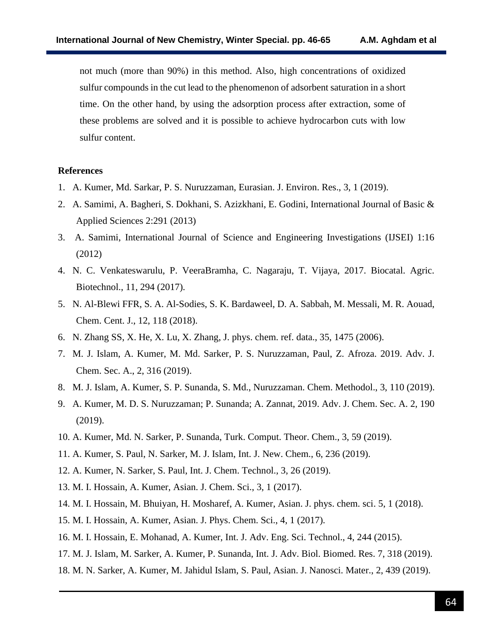not much (more than 90%) in this method. Also, high concentrations of oxidized sulfur compounds in the cut lead to the phenomenon of adsorbent saturation in a short time. On the other hand, by using the adsorption process after extraction, some of these problems are solved and it is possible to achieve hydrocarbon cuts with low sulfur content.

### **References**

- 1. A. Kumer, Md. Sarkar, P. S. Nuruzzaman, Eurasian. J. Environ. Res., 3, 1 (2019).
- 2. A. Samimi, A. Bagheri, S. Dokhani, S. Azizkhani, E. Godini, International Journal of Basic & Applied Sciences 2:291 (2013)
- 3. A. Samimi, International Journal of Science and Engineering Investigations (IJSEI) 1:16 (2012)
- 4. N. C. Venkateswarulu, P. VeeraBramha, C. Nagaraju, T. Vijaya, 2017. Biocatal. Agric. Biotechnol., 11, 294 (2017).
- 5. N. Al-Blewi FFR, S. A. Al-Sodies, S. K. Bardaweel, D. A. Sabbah, M. Messali, M. R. Aouad, Chem. Cent. J., 12, 118 (2018).
- 6. N. Zhang SS, X. He, X. Lu, X. Zhang, J. phys. chem. ref. data., 35, 1475 (2006).
- 7. M. J. Islam, A. Kumer, M. Md. Sarker, P. S. Nuruzzaman, Paul, Z. Afroza. 2019. Adv. J. Chem. Sec. A., 2, 316 (2019).
- 8. M. J. Islam, A. Kumer, S. P. Sunanda, S. Md., Nuruzzaman. Chem. Methodol., 3, 110 (2019).
- 9. A. Kumer, M. D. S. Nuruzzaman; P. Sunanda; A. Zannat, 2019. Adv. J. Chem. Sec. A. 2, 190 (2019).
- 10. A. Kumer, Md. N. Sarker, P. Sunanda, Turk. Comput. Theor. Chem., 3, 59 (2019).
- 11. A. Kumer, S. Paul, N. Sarker, M. J. Islam, Int. J. New. Chem., 6, 236 (2019).
- 12. A. Kumer, N. Sarker, S. Paul, Int. J. Chem. Technol., 3, 26 (2019).
- 13. M. I. Hossain, A. Kumer, Asian. J. Chem. Sci., 3, 1 (2017).
- 14. M. I. Hossain, M. Bhuiyan, H. Mosharef, A. Kumer, Asian. J. phys. chem. sci. 5, 1 (2018).
- 15. M. I. Hossain, A. Kumer, Asian. J. Phys. Chem. Sci., 4, 1 (2017).
- 16. M. I. Hossain, E. Mohanad, A. Kumer, Int. J. Adv. Eng. Sci. Technol., 4, 244 (2015).
- 17. M. J. Islam, M. Sarker, A. Kumer, P. Sunanda, Int. J. Adv. Biol. Biomed. Res. 7, 318 (2019).
- 18. M. N. Sarker, A. Kumer, M. Jahidul Islam, S. Paul, Asian. J. Nanosci. Mater., 2, 439 (2019).